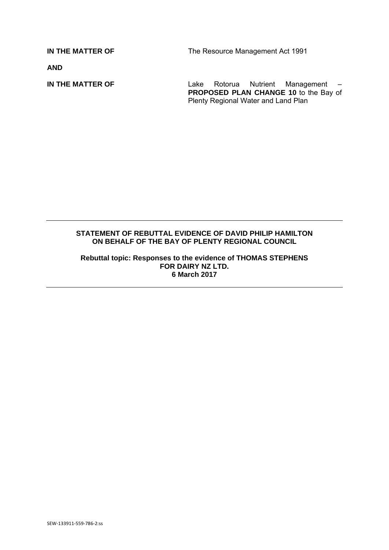**IN THE MATTER OF The Resource Management Act 1991** 

**AND** 

**IN THE MATTER OF** Lake Rotorua Nutrient Management – **PROPOSED PLAN CHANGE 10** to the Bay of Plenty Regional Water and Land Plan

## **STATEMENT OF REBUTTAL EVIDENCE OF DAVID PHILIP HAMILTON ON BEHALF OF THE BAY OF PLENTY REGIONAL COUNCIL**

**Rebuttal topic: Responses to the evidence of THOMAS STEPHENS FOR DAIRY NZ LTD. 6 March 2017**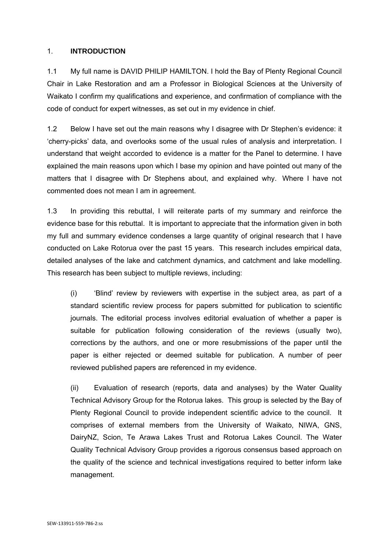## 1. **INTRODUCTION**

1.1 My full name is DAVID PHILIP HAMILTON. I hold the Bay of Plenty Regional Council Chair in Lake Restoration and am a Professor in Biological Sciences at the University of Waikato I confirm my qualifications and experience, and confirmation of compliance with the code of conduct for expert witnesses, as set out in my evidence in chief.

1.2 Below I have set out the main reasons why I disagree with Dr Stephen's evidence: it 'cherry-picks' data, and overlooks some of the usual rules of analysis and interpretation. I understand that weight accorded to evidence is a matter for the Panel to determine. I have explained the main reasons upon which I base my opinion and have pointed out many of the matters that I disagree with Dr Stephens about, and explained why. Where I have not commented does not mean I am in agreement.

1.3 In providing this rebuttal, I will reiterate parts of my summary and reinforce the evidence base for this rebuttal. It is important to appreciate that the information given in both my full and summary evidence condenses a large quantity of original research that I have conducted on Lake Rotorua over the past 15 years. This research includes empirical data, detailed analyses of the lake and catchment dynamics, and catchment and lake modelling. This research has been subject to multiple reviews, including:

(i) 'Blind' review by reviewers with expertise in the subject area, as part of a standard scientific review process for papers submitted for publication to scientific journals. The editorial process involves editorial evaluation of whether a paper is suitable for publication following consideration of the reviews (usually two), corrections by the authors, and one or more resubmissions of the paper until the paper is either rejected or deemed suitable for publication. A number of peer reviewed published papers are referenced in my evidence.

(ii) Evaluation of research (reports, data and analyses) by the Water Quality Technical Advisory Group for the Rotorua lakes. This group is selected by the Bay of Plenty Regional Council to provide independent scientific advice to the council. It comprises of external members from the University of Waikato, NIWA, GNS, DairyNZ, Scion, Te Arawa Lakes Trust and Rotorua Lakes Council. The Water Quality Technical Advisory Group provides a rigorous consensus based approach on the quality of the science and technical investigations required to better inform lake management.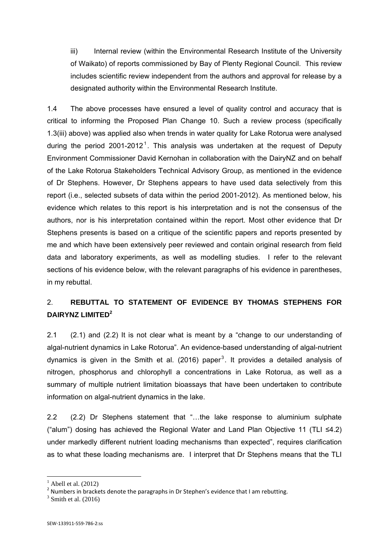iii) Internal review (within the Environmental Research Institute of the University of Waikato) of reports commissioned by Bay of Plenty Regional Council. This review includes scientific review independent from the authors and approval for release by a designated authority within the Environmental Research Institute.

1.4 The above processes have ensured a level of quality control and accuracy that is critical to informing the Proposed Plan Change 10. Such a review process (specifically 1.3(iii) above) was applied also when trends in water quality for Lake Rotorua were analysed during the period 2001-2012<sup>1</sup>. This analysis was undertaken at the request of Deputy Environment Commissioner David Kernohan in collaboration with the DairyNZ and on behalf of the Lake Rotorua Stakeholders Technical Advisory Group, as mentioned in the evidence of Dr Stephens. However, Dr Stephens appears to have used data selectively from this report (i.e., selected subsets of data within the period 2001-2012). As mentioned below, his evidence which relates to this report is his interpretation and is not the consensus of the authors, nor is his interpretation contained within the report. Most other evidence that Dr Stephens presents is based on a critique of the scientific papers and reports presented by me and which have been extensively peer reviewed and contain original research from field data and laboratory experiments, as well as modelling studies. I refer to the relevant sections of his evidence below, with the relevant paragraphs of his evidence in parentheses, in my rebuttal.

## 2. **REBUTTAL TO STATEMENT OF EVIDENCE BY THOMAS STEPHENS FOR DAIRYNZ LIMITED<sup>2</sup>**

2.1 (2.1) and (2.2) It is not clear what is meant by a "change to our understanding of algal-nutrient dynamics in Lake Rotorua". An evidence-based understanding of algal-nutrient dynamics is given in the Smith et al. (2016) paper<sup>3</sup>. It provides a detailed analysis of nitrogen, phosphorus and chlorophyll a concentrations in Lake Rotorua, as well as a summary of multiple nutrient limitation bioassays that have been undertaken to contribute information on algal-nutrient dynamics in the lake.

2.2 (2.2) Dr Stephens statement that "…the lake response to aluminium sulphate ("alum") dosing has achieved the Regional Water and Land Plan Objective 11 (TLI ≤4.2) under markedly different nutrient loading mechanisms than expected", requires clarification as to what these loading mechanisms are. I interpret that Dr Stephens means that the TLI

1

<sup>1</sup> Abell et al. (2012)

 $2$  Numbers in brackets denote the paragraphs in Dr Stephen's evidence that I am rebutting.

 $3$  Smith et al. (2016)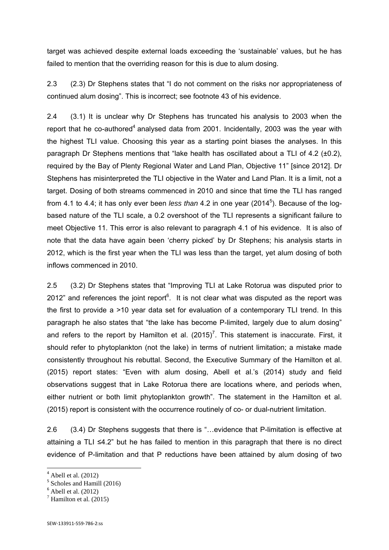target was achieved despite external loads exceeding the 'sustainable' values, but he has failed to mention that the overriding reason for this is due to alum dosing.

2.3 (2.3) Dr Stephens states that "I do not comment on the risks nor appropriateness of continued alum dosing". This is incorrect; see footnote 43 of his evidence.

2.4 (3.1) It is unclear why Dr Stephens has truncated his analysis to 2003 when the report that he co-authored<sup>4</sup> analysed data from 2001. Incidentally, 2003 was the year with the highest TLI value. Choosing this year as a starting point biases the analyses. In this paragraph Dr Stephens mentions that "lake health has oscillated about a TLI of 4.2  $(\pm 0.2)$ , required by the Bay of Plenty Regional Water and Land Plan, Objective 11" [since 2012]. Dr Stephens has misinterpreted the TLI objective in the Water and Land Plan. It is a limit, not a target. Dosing of both streams commenced in 2010 and since that time the TLI has ranged from 4.1 to 4.4; it has only ever been *less than* 4.2 in one year (2014<sup>5</sup>). Because of the logbased nature of the TLI scale, a 0.2 overshoot of the TLI represents a significant failure to meet Objective 11. This error is also relevant to paragraph 4.1 of his evidence. It is also of note that the data have again been 'cherry picked' by Dr Stephens; his analysis starts in 2012, which is the first year when the TLI was less than the target, yet alum dosing of both inflows commenced in 2010.

2.5 (3.2) Dr Stephens states that "Improving TLI at Lake Rotorua was disputed prior to 2012" and references the joint report $6$ . It is not clear what was disputed as the report was the first to provide a >10 year data set for evaluation of a contemporary TLI trend. In this paragraph he also states that "the lake has become P-limited, largely due to alum dosing" and refers to the report by Hamilton et al.  $(2015)^7$ . This statement is inaccurate. First, it should refer to phytoplankton (not the lake) in terms of nutrient limitation; a mistake made consistently throughout his rebuttal. Second, the Executive Summary of the Hamilton et al. (2015) report states: "Even with alum dosing, Abell et al.'s (2014) study and field observations suggest that in Lake Rotorua there are locations where, and periods when, either nutrient or both limit phytoplankton growth". The statement in the Hamilton et al. (2015) report is consistent with the occurrence routinely of co- or dual-nutrient limitation.

2.6 (3.4) Dr Stephens suggests that there is "…evidence that P-limitation is effective at attaining a TLI ≤4.2" but he has failed to mention in this paragraph that there is no direct evidence of P-limitation and that P reductions have been attained by alum dosing of two

**.** 

 $<sup>4</sup>$  Abell et al. (2012)</sup>

<sup>5</sup> Scholes and Hamill (2016)

 $<sup>6</sup>$  Abell et al. (2012)</sup>

 $<sup>7</sup>$  Hamilton et al. (2015)</sup>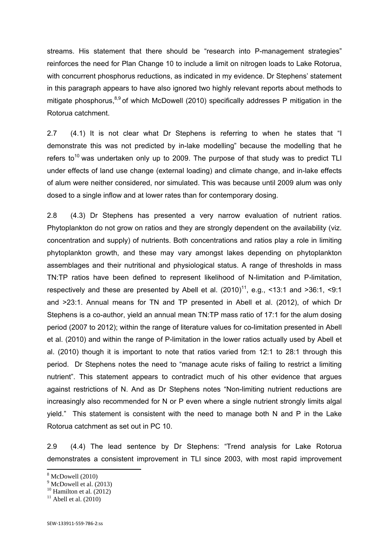streams. His statement that there should be "research into P-management strategies" reinforces the need for Plan Change 10 to include a limit on nitrogen loads to Lake Rotorua, with concurrent phosphorus reductions, as indicated in my evidence. Dr Stephens' statement in this paragraph appears to have also ignored two highly relevant reports about methods to mitigate phosphorus,  $8.9$  of which McDowell (2010) specifically addresses P mitigation in the Rotorua catchment.

2.7 (4.1) It is not clear what Dr Stephens is referring to when he states that "I demonstrate this was not predicted by in-lake modelling" because the modelling that he refers to<sup>10</sup> was undertaken only up to 2009. The purpose of that study was to predict TLI under effects of land use change (external loading) and climate change, and in-lake effects of alum were neither considered, nor simulated. This was because until 2009 alum was only dosed to a single inflow and at lower rates than for contemporary dosing.

2.8 (4.3) Dr Stephens has presented a very narrow evaluation of nutrient ratios. Phytoplankton do not grow on ratios and they are strongly dependent on the availability (viz. concentration and supply) of nutrients. Both concentrations and ratios play a role in limiting phytoplankton growth, and these may vary amongst lakes depending on phytoplankton assemblages and their nutritional and physiological status. A range of thresholds in mass TN:TP ratios have been defined to represent likelihood of N-limitation and P-limitation, respectively and these are presented by Abell et al.  $(2010)^{11}$ , e.g., <13:1 and >36:1, <9:1 and >23:1. Annual means for TN and TP presented in Abell et al. (2012), of which Dr Stephens is a co-author, yield an annual mean TN:TP mass ratio of 17:1 for the alum dosing period (2007 to 2012); within the range of literature values for co-limitation presented in Abell et al. (2010) and within the range of P-limitation in the lower ratios actually used by Abell et al. (2010) though it is important to note that ratios varied from 12:1 to 28:1 through this period. Dr Stephens notes the need to "manage acute risks of failing to restrict a limiting nutrient". This statement appears to contradict much of his other evidence that argues against restrictions of N. And as Dr Stephens notes "Non-limiting nutrient reductions are increasingly also recommended for N or P even where a single nutrient strongly limits algal yield." This statement is consistent with the need to manage both N and P in the Lake Rotorua catchment as set out in PC 10.

2.9 (4.4) The lead sentence by Dr Stephens: "Trend analysis for Lake Rotorua demonstrates a consistent improvement in TLI since 2003, with most rapid improvement

**.** 

<sup>8</sup> McDowell (2010)

 $<sup>9</sup>$  McDowell et al. (2013)</sup>

 $10$  Hamilton et al. (2012)

 $11$  Abell et al. (2010)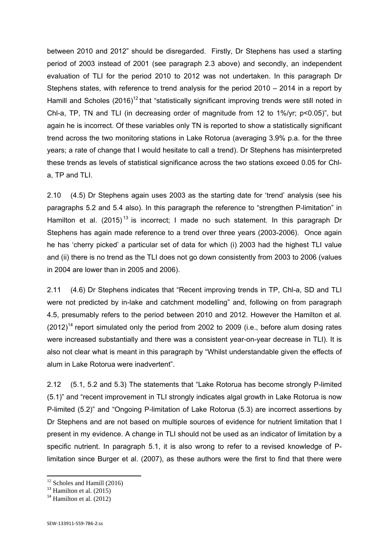between 2010 and 2012" should be disregarded. Firstly, Dr Stephens has used a starting period of 2003 instead of 2001 (see paragraph 2.3 above) and secondly, an independent evaluation of TLI for the period 2010 to 2012 was not undertaken. In this paragraph Dr Stephens states, with reference to trend analysis for the period 2010 – 2014 in a report by Hamill and Scholes  $(2016)^{12}$  that "statistically significant improving trends were still noted in Chl-a, TP, TN and TLI (in decreasing order of magnitude from 12 to 1%/yr; p<0.05)", but again he is incorrect. Of these variables only TN is reported to show a statistically significant trend across the two monitoring stations in Lake Rotorua (averaging 3.9% p.a. for the three years; a rate of change that I would hesitate to call a trend). Dr Stephens has misinterpreted these trends as levels of statistical significance across the two stations exceed 0.05 for Chla, TP and TLI.

2.10 (4.5) Dr Stephens again uses 2003 as the starting date for 'trend' analysis (see his paragraphs 5.2 and 5.4 also). In this paragraph the reference to "strengthen P-limitation" in Hamilton et al. (2015)<sup>13</sup> is incorrect; I made no such statement. In this paragraph Dr Stephens has again made reference to a trend over three years (2003-2006). Once again he has 'cherry picked' a particular set of data for which (i) 2003 had the highest TLI value and (ii) there is no trend as the TLI does not go down consistently from 2003 to 2006 (values in 2004 are lower than in 2005 and 2006).

2.11 (4.6) Dr Stephens indicates that "Recent improving trends in TP, Chl-a, SD and TLI were not predicted by in-lake and catchment modelling" and, following on from paragraph 4.5, presumably refers to the period between 2010 and 2012. However the Hamilton et al.  $(2012)^{14}$  report simulated only the period from 2002 to 2009 (i.e., before alum dosing rates were increased substantially and there was a consistent year-on-year decrease in TLI). It is also not clear what is meant in this paragraph by "Whilst understandable given the effects of alum in Lake Rotorua were inadvertent".

2.12 (5.1, 5.2 and 5.3) The statements that "Lake Rotorua has become strongly P-limited (5.1)" and "recent improvement in TLI strongly indicates algal growth in Lake Rotorua is now P-limited (5.2)" and "Ongoing P-limitation of Lake Rotorua (5.3) are incorrect assertions by Dr Stephens and are not based on multiple sources of evidence for nutrient limitation that I present in my evidence. A change in TLI should not be used as an indicator of limitation by a specific nutrient. In paragraph 5.1, it is also wrong to refer to a revised knowledge of Plimitation since Burger et al. (2007), as these authors were the first to find that there were

1

<sup>&</sup>lt;sup>12</sup> Scholes and Hamill (2016)

 $13$  Hamilton et al. (2015)

 $14$  Hamilton et al.  $(2012)$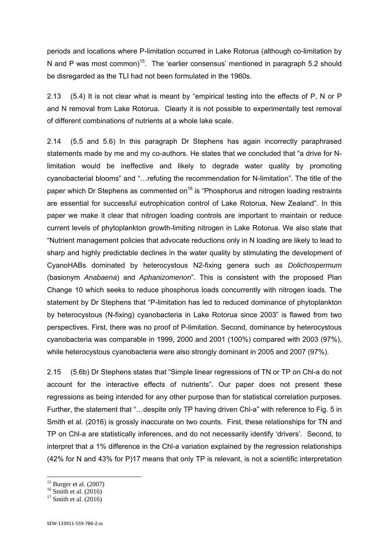periods and locations where P-limitation occurred in Lake Rotorua (although co-limitation by N and P was most common)<sup>15</sup>. The 'earlier consensus' mentioned in paragraph 5.2 should be disregarded as the TLI had not been formulated in the 1960s.

2.13 (5.4) It is not clear what is meant by "empirical testing into the effects of P, N or P and N removal from Lake Rotorua. Clearly it is not possible to experimentally test removal of different combinations of nutrients at a whole lake scale.

2.14 (5.5 and 5.6) In this paragraph Dr Stephens has again incorrectly paraphrased statements made by me and my co-authors. He states that we concluded that "a drive for Nlimitation would be ineffective and likely to degrade water quality by promoting cyanobacterial blooms" and "…refuting the recommendation for N-limitation". The title of the paper which Dr Stephens as commented on<sup>16</sup> is "Phosphorus and nitrogen loading restraints are essential for successful eutrophication control of Lake Rotorua, New Zealand". In this paper we make it clear that nitrogen loading controls are important to maintain or reduce current levels of phytoplankton growth-limiting nitrogen in Lake Rotorua. We also state that "Nutrient management policies that advocate reductions only in N loading are likely to lead to sharp and highly predictable declines in the water quality by stimulating the development of CyanoHABs dominated by heterocystous N2-fixing genera such as *Dolichospermum* (basionym *Anabaena*) and *Aphanizomenon*". This is consistent with the proposed Plan Change 10 which seeks to reduce phosphorus loads concurrently with nitrogen loads. The statement by Dr Stephens that "P-limitation has led to reduced dominance of phytoplankton by heterocystous (N-fixing) cyanobacteria in Lake Rotorua since 2003" is flawed from two perspectives. First, there was no proof of P-limitation. Second, dominance by heterocystous cyanobacteria was comparable in 1999, 2000 and 2001 (100%) compared with 2003 (97%), while heterocystous cyanobacteria were also strongly dominant in 2005 and 2007 (97%).

2.15 (5.6b) Dr Stephens states that "Simple linear regressions of TN or TP on Chl-a do not account for the interactive effects of nutrients". Our paper does not present these regressions as being intended for any other purpose than for statistical correlation purposes. Further, the statement that "…despite only TP having driven Chl-a" with reference to Fig. 5 in Smith et al. (2016) is grossly inaccurate on two counts. First, these relationships for TN and TP on Chl-a are statistically inferences, and do not necessarily identify 'drivers'. Second, to interpret that a 1% difference in the Chl-a variation explained by the regression relationships (42% for N and 43% for P)17 means that only TP is relevant, is not a scientific interpretation

1

 $15$  Burger et al. (2007)

 $^{16}$  Smith et al. (2016)

 $17$  Smith et al.  $(2016)$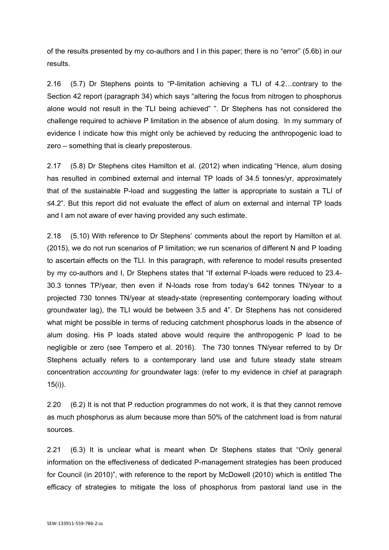of the results presented by my co-authors and I in this paper; there is no "error" (5.6b) in our results.

2.16 (5.7) Dr Stephens points to "P-limitation achieving a TLI of 4.2…contrary to the Section 42 report (paragraph 34) which says "altering the focus from nitrogen to phosphorus alone would not result in the TLI being achieved" ". Dr Stephens has not considered the challenge required to achieve P limitation in the absence of alum dosing. In my summary of evidence I indicate how this might only be achieved by reducing the anthropogenic load to zero – something that is clearly preposterous.

2.17 (5.8) Dr Stephens cites Hamilton et al. (2012) when indicating "Hence, alum dosing has resulted in combined external and internal TP loads of 34.5 tonnes/yr, approximately that of the sustainable P-load and suggesting the latter is appropriate to sustain a TLI of ≤4.2". But this report did not evaluate the effect of alum on external and internal TP loads and I am not aware of ever having provided any such estimate.

2.18 (5.10) With reference to Dr Stephens' comments about the report by Hamilton et al. (2015), we do not run scenarios of P limitation; we run scenarios of different N and P loading to ascertain effects on the TLI. In this paragraph, with reference to model results presented by my co-authors and I, Dr Stephens states that "If external P-loads were reduced to 23.4- 30.3 tonnes TP/year, then even if N-loads rose from today's 642 tonnes TN/year to a projected 730 tonnes TN/year at steady-state (representing contemporary loading without groundwater lag), the TLI would be between 3.5 and 4". Dr Stephens has not considered what might be possible in terms of reducing catchment phosphorus loads in the absence of alum dosing. His P loads stated above would require the anthropogenic P load to be negligible or zero (see Tempero et al. 2016). The 730 tonnes TN/year referred to by Dr Stephens actually refers to a contemporary land use and future steady state stream concentration *accounting for* groundwater lags: (refer to my evidence in chief at paragraph 15(i)).

2.20 (6.2) It is not that P reduction programmes do not work, it is that they cannot remove as much phosphorus as alum because more than 50% of the catchment load is from natural sources.

2.21 (6.3) It is unclear what is meant when Dr Stephens states that "Only general information on the effectiveness of dedicated P-management strategies has been produced for Council (in 2010)", with reference to the report by McDowell (2010) which is entitled The efficacy of strategies to mitigate the loss of phosphorus from pastoral land use in the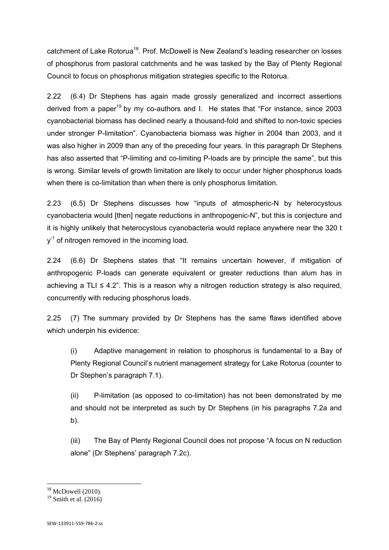catchment of Lake Rotorua<sup>18</sup>. Prof. McDowell is New Zealand's leading researcher on losses of phosphorus from pastoral catchments and he was tasked by the Bay of Plenty Regional Council to focus on phosphorus mitigation strategies specific to the Rotorua.

2.22 (6.4) Dr Stephens has again made grossly generalized and incorrect assertions derived from a paper<sup>19</sup> by my co-authors and I. He states that "For instance, since 2003 cyanobacterial biomass has declined nearly a thousand-fold and shifted to non-toxic species under stronger P-limitation". Cyanobacteria biomass was higher in 2004 than 2003, and it was also higher in 2009 than any of the preceding four years. In this paragraph Dr Stephens has also asserted that "P-limiting and co-limiting P-loads are by principle the same", but this is wrong. Similar levels of growth limitation are likely to occur under higher phosphorus loads when there is co-limitation than when there is only phosphorus limitation.

2.23 (6.5) Dr Stephens discusses how "inputs of atmospheric-N by heterocystous cyanobacteria would [then] negate reductions in anthropogenic-N", but this is conjecture and it is highly unlikely that heterocystous cyanobacteria would replace anywhere near the 320 t  $v<sup>-1</sup>$  of nitrogen removed in the incoming load.

2.24 (6.6) Dr Stephens states that "It remains uncertain however, if mitigation of anthropogenic P-loads can generate equivalent or greater reductions than alum has in achieving a TLI  $\leq$  4.2". This is a reason why a nitrogen reduction strategy is also required, concurrently with reducing phosphorus loads.

2.25 (7) The summary provided by Dr Stephens has the same flaws identified above which underpin his evidence:

(i) Adaptive management in relation to phosphorus is fundamental to a Bay of Plenty Regional Council's nutrient management strategy for Lake Rotorua (counter to Dr Stephen's paragraph 7.1).

(ii) P-limitation (as opposed to co-limitation) has not been demonstrated by me and should not be interpreted as such by Dr Stephens (in his paragraphs 7.2a and b).

(iii) The Bay of Plenty Regional Council does not propose "A focus on N reduction alone" (Dr Stephens' paragraph 7.2c).

**.** 

 $18$  McDowell (2010).

 $19$  Smith et al. (2016)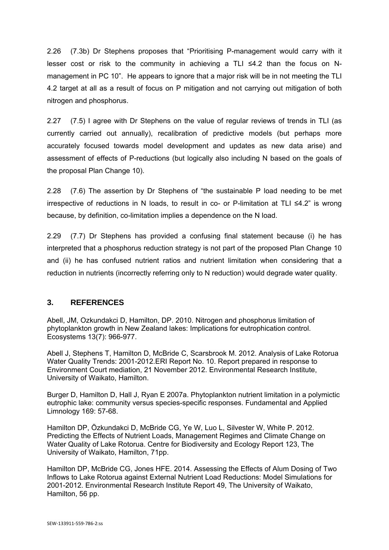2.26 (7.3b) Dr Stephens proposes that "Prioritising P-management would carry with it lesser cost or risk to the community in achieving a TLI ≤4.2 than the focus on Nmanagement in PC 10". He appears to ignore that a major risk will be in not meeting the TLI 4.2 target at all as a result of focus on P mitigation and not carrying out mitigation of both nitrogen and phosphorus.

2.27 (7.5) I agree with Dr Stephens on the value of regular reviews of trends in TLI (as currently carried out annually), recalibration of predictive models (but perhaps more accurately focused towards model development and updates as new data arise) and assessment of effects of P-reductions (but logically also including N based on the goals of the proposal Plan Change 10).

2.28 (7.6) The assertion by Dr Stephens of "the sustainable P load needing to be met irrespective of reductions in N loads, to result in co- or P-limitation at TLI ≤4.2" is wrong because, by definition, co-limitation implies a dependence on the N load.

2.29 (7.7) Dr Stephens has provided a confusing final statement because (i) he has interpreted that a phosphorus reduction strategy is not part of the proposed Plan Change 10 and (ii) he has confused nutrient ratios and nutrient limitation when considering that a reduction in nutrients (incorrectly referring only to N reduction) would degrade water quality.

## **3. REFERENCES**

Abell, JM, Ozkundakci D, Hamilton, DP. 2010. Nitrogen and phosphorus limitation of phytoplankton growth in New Zealand lakes: Implications for eutrophication control. Ecosystems 13(7): 966-977.

Abell J, Stephens T, Hamilton D, McBride C, Scarsbrook M. 2012. Analysis of Lake Rotorua Water Quality Trends: 2001-2012.ERI Report No. 10. Report prepared in response to Environment Court mediation, 21 November 2012. Environmental Research Institute, University of Waikato, Hamilton.

Burger D, Hamilton D, Hall J, Ryan E 2007a. Phytoplankton nutrient limitation in a polymictic eutrophic lake: community versus species-specific responses. Fundamental and Applied Limnology 169: 57-68.

Hamilton DP, Özkundakci D, McBride CG, Ye W, Luo L, Silvester W, White P. 2012. Predicting the Effects of Nutrient Loads, Management Regimes and Climate Change on Water Quality of Lake Rotorua. Centre for Biodiversity and Ecology Report 123, The University of Waikato, Hamilton, 71pp.

Hamilton DP, McBride CG, Jones HFE. 2014. Assessing the Effects of Alum Dosing of Two Inflows to Lake Rotorua against External Nutrient Load Reductions: Model Simulations for 2001-2012. Environmental Research Institute Report 49, The University of Waikato, Hamilton, 56 pp.